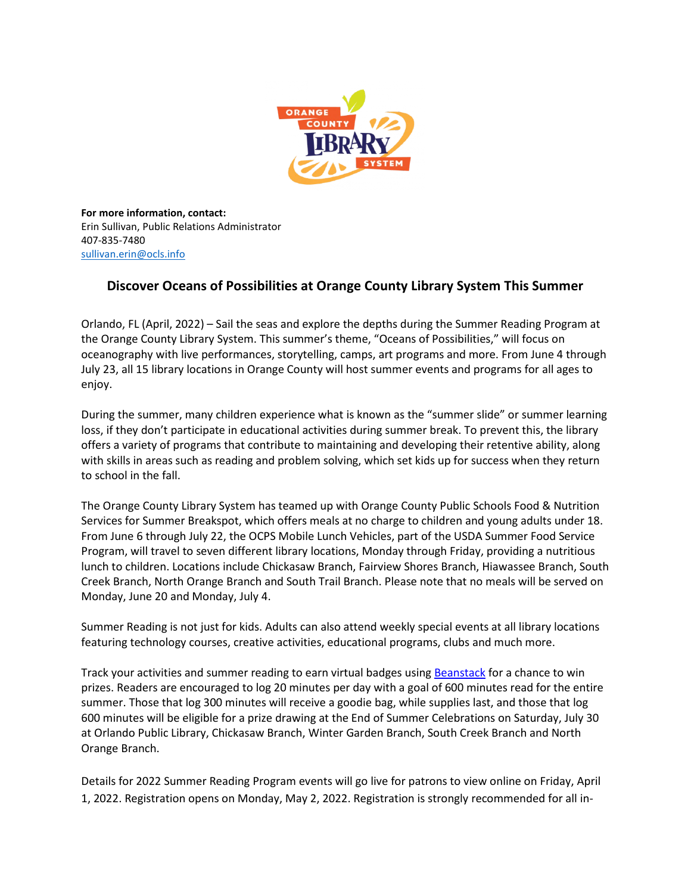

**For more information, contact:** Erin Sullivan, Public Relations Administrator 407-835-7480 [sullivan.erin@ocls.info](mailto:sullivan.erin@ocls.info)

## **Discover Oceans of Possibilities at Orange County Library System This Summer**

Orlando, FL (April, 2022) – Sail the seas and explore the depths during the Summer Reading Program at the Orange County Library System. This summer's theme, "Oceans of Possibilities," will focus on oceanography with live performances, storytelling, camps, art programs and more. From June 4 through July 23, all 15 library locations in Orange County will host summer events and programs for all ages to enjoy.

During the summer, many children experience what is known as the "summer slide" or summer learning loss, if they don't participate in educational activities during summer break. To prevent this, the library offers a variety of programs that contribute to maintaining and developing their retentive ability, along with skills in areas such as reading and problem solving, which set kids up for success when they return to school in the fall.

The Orange County Library System has teamed up with Orange County Public Schools Food & Nutrition Services for Summer Breakspot, which offers meals at no charge to children and young adults under 18. From June 6 through July 22, the OCPS Mobile Lunch Vehicles, part of the USDA Summer Food Service Program, will travel to seven different library locations, Monday through Friday, providing a nutritious lunch to children. Locations include Chickasaw Branch, Fairview Shores Branch, Hiawassee Branch, South Creek Branch, North Orange Branch and South Trail Branch. Please note that no meals will be served on Monday, June 20 and Monday, July 4.

Summer Reading is not just for kids. Adults can also attend weekly special events at all library locations featuring technology courses, creative activities, educational programs, clubs and much more.

Track your activities and summer reading to earn virtual badges using [Beanstack](https://ocls.beanstack.org/) for a chance to win prizes. Readers are encouraged to log 20 minutes per day with a goal of 600 minutes read for the entire summer. Those that log 300 minutes will receive a goodie bag, while supplies last, and those that log 600 minutes will be eligible for a prize drawing at the End of Summer Celebrations on Saturday, July 30 at Orlando Public Library, Chickasaw Branch, Winter Garden Branch, South Creek Branch and North Orange Branch.

Details for 2022 Summer Reading Program events will go live for patrons to view online on Friday, April 1, 2022. Registration opens on Monday, May 2, 2022. Registration is strongly recommended for all in